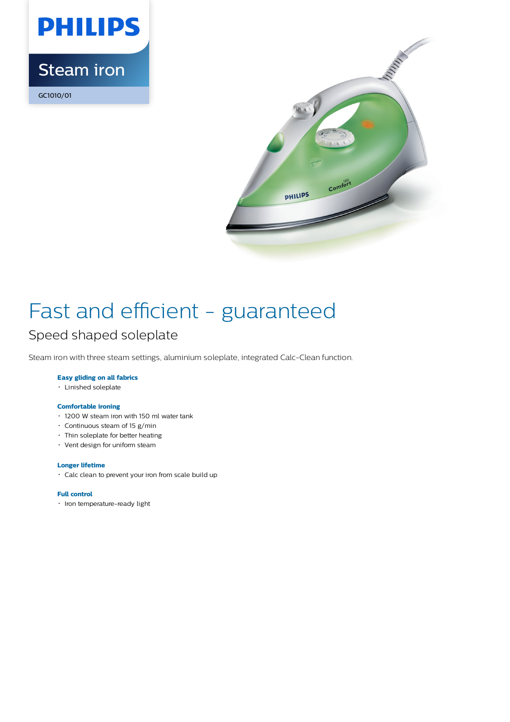# **PHILIPS** Steam iron

GC1010/01



### Fast and efficient - guaranteed Speed shaped soleplate

Steam iron with three steam settings, aluminium soleplate, integrated Calc-Clean function.

#### **Easy gliding on all fabrics**

Linished soleplate

#### **Comfortable ironing**

- 1200 W steam iron with 150 ml water tank
- Continuous steam of 15 g/min
- Thin soleplate for better heating
- Vent design for uniform steam

#### **Longer lifetime**

Calc clean to prevent your iron from scale build up

#### **Full control**

• Iron temperature-ready light